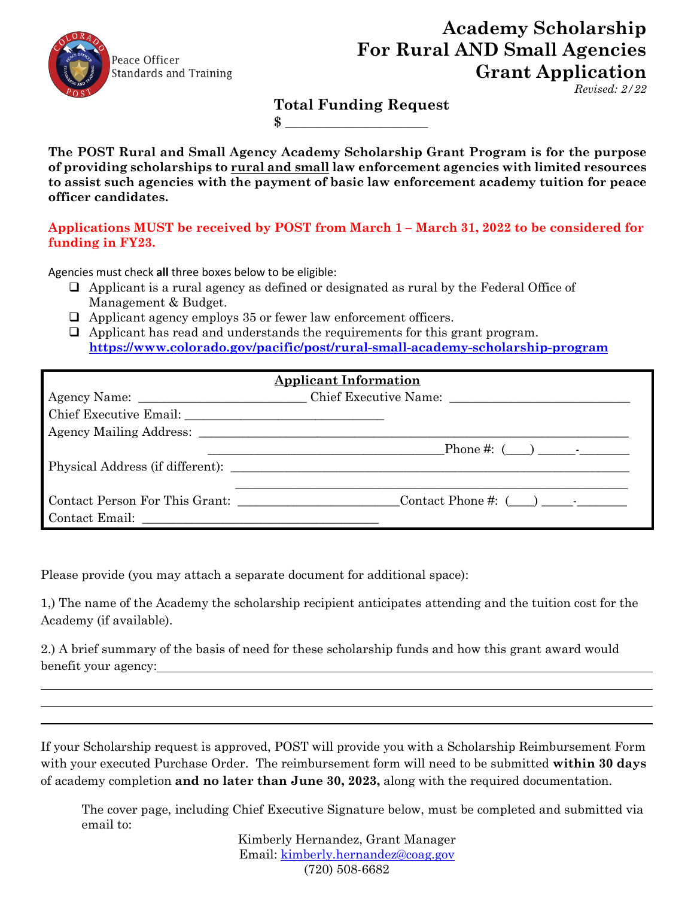

## **Academy Scholarship For Rural AND Small Agencies Grant Application**

 *Revised: 2/22*

**Total Funding Request**

**The POST Rural and Small Agency Academy Scholarship Grant Program is for the purpose of providing scholarships to rural and small law enforcement agencies with limited resources to assist such agencies with the payment of basic law enforcement academy tuition for peace officer candidates.**

 $\bullet$ 

## **Applications MUST be received by POST from March 1 – March 31, 2022 to be considered for funding in FY23.**

Agencies must check **all** three boxes below to be eligible:

- $\Box$  Applicant is a rural agency as defined or designated as rural by the Federal Office of Management & Budget.
- Applicant agency employs 35 or fewer law enforcement officers.
- Applicant has read and understands the requirements for this grant program. **<https://www.colorado.gov/pacific/post/rural-small-academy-scholarship-program>**

| <b>Applicant Information</b> |                                                    |  |
|------------------------------|----------------------------------------------------|--|
|                              |                                                    |  |
|                              |                                                    |  |
|                              |                                                    |  |
|                              | Phone #: $($ ) -                                   |  |
|                              | Physical Address (if different):                   |  |
|                              |                                                    |  |
|                              | Contact Person For This Grant: Contact Phone #: () |  |
|                              |                                                    |  |

Please provide (you may attach a separate document for additional space):

1,) The name of the Academy the scholarship recipient anticipates attending and the tuition cost for the Academy (if available).

2.) A brief summary of the basis of need for these scholarship funds and how this grant award would benefit your agency:

If your Scholarship request is approved, POST will provide you with a Scholarship Reimbursement Form with your executed Purchase Order. The reimbursement form will need to be submitted **within 30 days**  of academy completion **and no later than June 30, 2023,** along with the required documentation.

The cover page, including Chief Executive Signature below, must be completed and submitted via email to:

> Kimberly Hernandez, Grant Manager Email: [kimberly.hernandez@coag.gov](mailto:kimberly.hernandez@coag.gov) (720) 508-6682